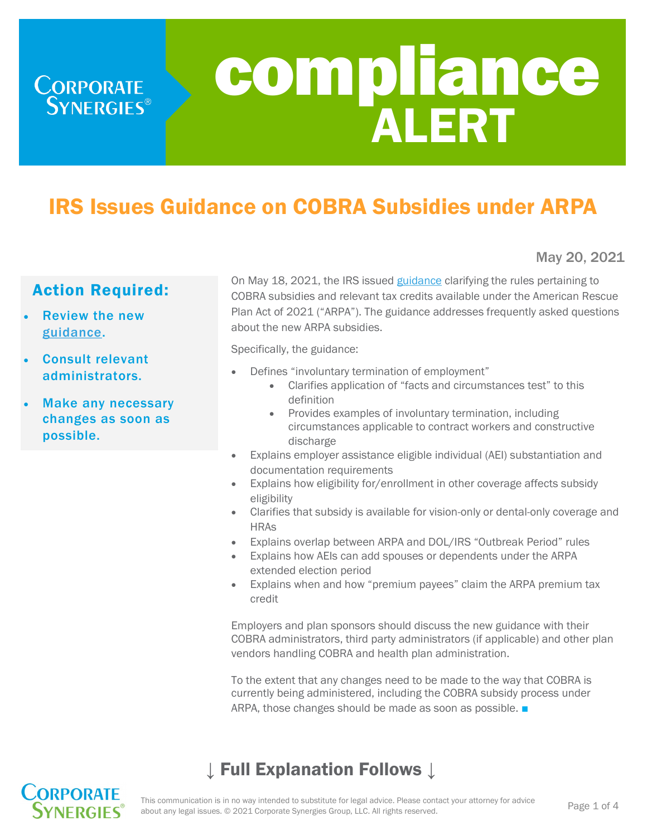

# IRS Issues Guidance on COBRA Subsidies under ARPA

Action Required:

**CORPORATE**<br>SYNERGIES<sup>®</sup>

- Review the new [guidance.](https://www.irs.gov/pub/irs-drop/n-21-31.pdf)
- Consult relevant administrators.
- Make any necessary changes as soon as possible.

On May 18, 2021, the IRS issued [guidance](https://www.irs.gov/pub/irs-drop/n-21-31.pdf) clarifying the rules pertaining to COBRA subsidies and relevant tax credits available under the American Rescue Plan Act of 2021 ("ARPA"). The guidance addresses frequently asked questions about the new ARPA subsidies.

Specifically, the guidance:

- Defines "involuntary termination of employment"
	- Clarifies application of "facts and circumstances test" to this definition
	- Provides examples of involuntary termination, including circumstances applicable to contract workers and constructive discharge
- Explains employer assistance eligible individual (AEI) substantiation and documentation requirements
- Explains how eligibility for/enrollment in other coverage affects subsidy eligibility
- Clarifies that subsidy is available for vision-only or dental-only coverage and **HRAs**
- Explains overlap between ARPA and DOL/IRS "Outbreak Period" rules
- Explains how AEIs can add spouses or dependents under the ARPA extended election period
- Explains when and how "premium payees" claim the ARPA premium tax credit

Employers and plan sponsors should discuss the new guidance with their COBRA administrators, third party administrators (if applicable) and other plan vendors handling COBRA and health plan administration.

To the extent that any changes need to be made to the way that COBRA is currently being administered, including the COBRA subsidy process under ARPA, those changes should be made as soon as possible. ■

# ↓ Full Explanation Follows ↓



May 20, 2021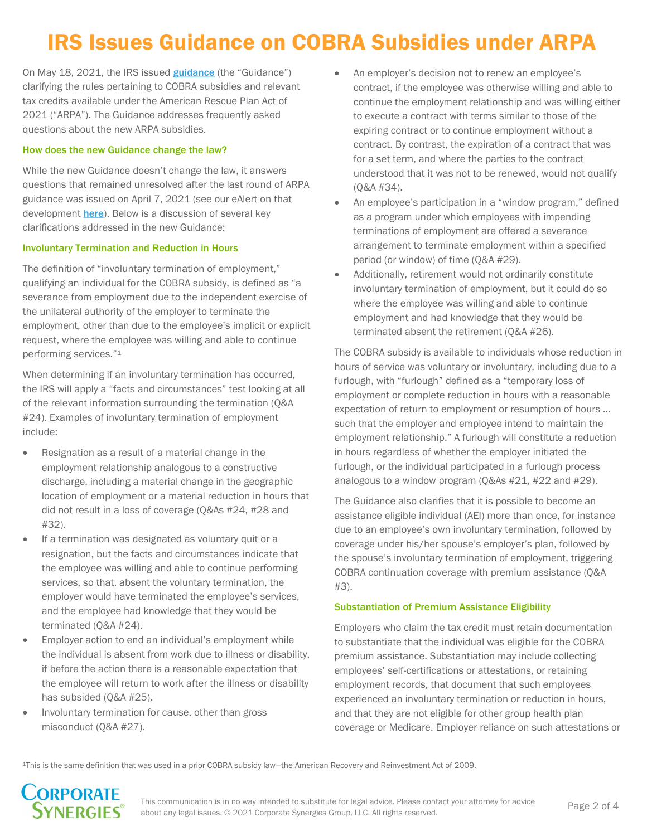# IRS Issues Guidance on COBRA Subsidies under ARPA

On May 18, 2021, the IRS issued **[guidance](https://www.irs.gov/pub/irs-drop/n-21-31.pdf)** (the "Guidance") clarifying the rules pertaining to COBRA subsidies and relevant tax credits available under the American Rescue Plan Act of 2021 ("ARPA"). The Guidance addresses frequently asked questions about the new ARPA subsidies.

### How does the new Guidance change the law?

While the new Guidance doesn't change the law, it answers questions that remained unresolved after the last round of ARPA guidance was issued on April 7, 2021 (see our eAlert on that development [here](https://www.corpsyn.com/eAlerts/eAlert_ARPA_COBRA_FAQS.pdf)). Below is a discussion of several key clarifications addressed in the new Guidance:

#### Involuntary Termination and Reduction in Hours

The definition of "involuntary termination of employment," qualifying an individual for the COBRA subsidy, is defined as "a severance from employment due to the independent exercise of the unilateral authority of the employer to terminate the employment, other than due to the employee's implicit or explicit request, where the employee was willing and able to continue performing services."<sup>1</sup>

When determining if an involuntary termination has occurred, the IRS will apply a "facts and circumstances" test looking at all of the relevant information surrounding the termination (Q&A #24). Examples of involuntary termination of employment include:

- Resignation as a result of a material change in the employment relationship analogous to a constructive discharge, including a material change in the geographic location of employment or a material reduction in hours that did not result in a loss of coverage (Q&As #24, #28 and #32).
- If a termination was designated as voluntary quit or a resignation, but the facts and circumstances indicate that the employee was willing and able to continue performing services, so that, absent the voluntary termination, the employer would have terminated the employee's services, and the employee had knowledge that they would be terminated (Q&A #24).
- Employer action to end an individual's employment while the individual is absent from work due to illness or disability, if before the action there is a reasonable expectation that the employee will return to work after the illness or disability has subsided (Q&A #25).
- Involuntary termination for cause, other than gross misconduct (Q&A #27).
- An employer's decision not to renew an employee's contract, if the employee was otherwise willing and able to continue the employment relationship and was willing either to execute a contract with terms similar to those of the expiring contract or to continue employment without a contract. By contrast, the expiration of a contract that was for a set term, and where the parties to the contract understood that it was not to be renewed, would not qualify (Q&A #34).
- An employee's participation in a "window program," defined as a program under which employees with impending terminations of employment are offered a severance arrangement to terminate employment within a specified period (or window) of time (Q&A #29).
- Additionally, retirement would not ordinarily constitute involuntary termination of employment, but it could do so where the employee was willing and able to continue employment and had knowledge that they would be terminated absent the retirement (Q&A #26).

The COBRA subsidy is available to individuals whose reduction in hours of service was voluntary or involuntary, including due to a furlough, with "furlough" defined as a "temporary loss of employment or complete reduction in hours with a reasonable expectation of return to employment or resumption of hours … such that the employer and employee intend to maintain the employment relationship." A furlough will constitute a reduction in hours regardless of whether the employer initiated the furlough, or the individual participated in a furlough process analogous to a window program (Q&As #21, #22 and #29).

The Guidance also clarifies that it is possible to become an assistance eligible individual (AEI) more than once, for instance due to an employee's own involuntary termination, followed by coverage under his/her spouse's employer's plan, followed by the spouse's involuntary termination of employment, triggering COBRA continuation coverage with premium assistance (Q&A #3).

### Substantiation of Premium Assistance Eligibility

Employers who claim the tax credit must retain documentation to substantiate that the individual was eligible for the COBRA premium assistance. Substantiation may include collecting employees' self-certifications or attestations, or retaining employment records, that document that such employees experienced an involuntary termination or reduction in hours, and that they are not eligible for other group health plan coverage or Medicare. Employer reliance on such attestations or

1This is the same definition that was used in a prior COBRA subsidy law—the American Recovery and Reinvestment Act of 2009.

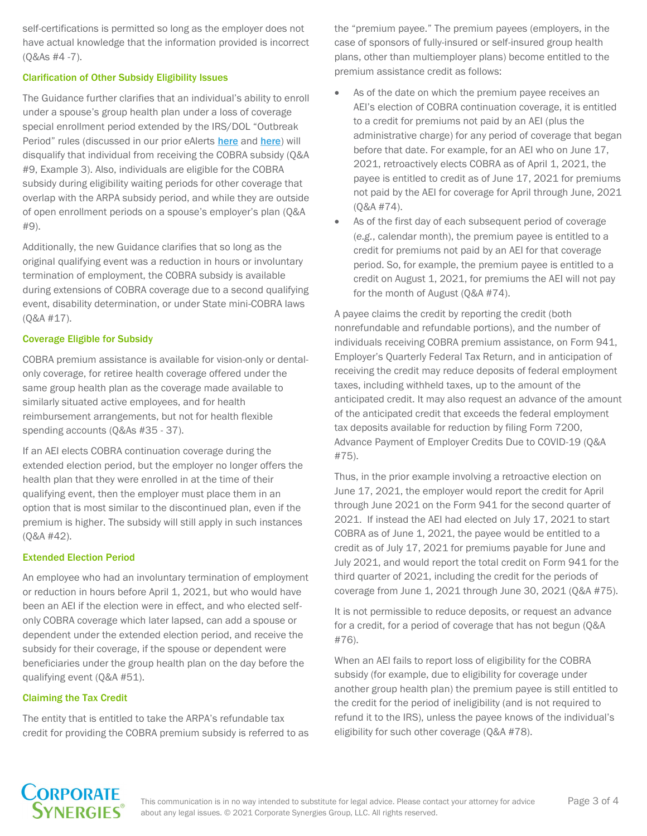self-certifications is permitted so long as the employer does not have actual knowledge that the information provided is incorrect (Q&As #4 -7).

#### Clarification of Other Subsidy Eligibility Issues

The Guidance further clarifies that an individual's ability to enroll under a spouse's group health plan under a loss of coverage special enrollment period extended by the IRS/DOL "Outbreak Period" rules (discussed in our prior eAlerts [here](https://www.corpsyn.com/docs/pdf/eAlerts/eAlert_Agencies_Issue_COVID-19-Related_Compliance_Relief_for_Benefit_Plans.pdf) and here) will disqualify that individual from receiving the COBRA subsidy (Q&A #9, Example 3). Also, individuals are eligible for the COBRA subsidy during eligibility waiting periods for other coverage that overlap with the ARPA subsidy period, and while they are outside of open enrollment periods on a spouse's employer's plan (Q&A #9).

Additionally, the new Guidance clarifies that so long as the original qualifying event was a reduction in hours or involuntary termination of employment, the COBRA subsidy is available during extensions of COBRA coverage due to a second qualifying event, disability determination, or under State mini-COBRA laws (Q&A #17).

#### Coverage Eligible for Subsidy

COBRA premium assistance is available for vision-only or dentalonly coverage, for retiree health coverage offered under the same group health plan as the coverage made available to similarly situated active employees, and for health reimbursement arrangements, but not for health flexible spending accounts (Q&As #35 - 37).

If an AEI elects COBRA continuation coverage during the extended election period, but the employer no longer offers the health plan that they were enrolled in at the time of their qualifying event, then the employer must place them in an option that is most similar to the discontinued plan, even if the premium is higher. The subsidy will still apply in such instances (Q&A #42).

#### Extended Election Period

An employee who had an involuntary termination of employment or reduction in hours before April 1, 2021, but who would have been an AEI if the election were in effect, and who elected selfonly COBRA coverage which later lapsed, can add a spouse or dependent under the extended election period, and receive the subsidy for their coverage, if the spouse or dependent were beneficiaries under the group health plan on the day before the qualifying event (Q&A #51).

## Claiming the Tax Credit

The entity that is entitled to take the ARPA's refundable tax credit for providing the COBRA premium subsidy is referred to as the "premium payee." The premium payees (employers, in the case of sponsors of fully-insured or self-insured group health plans, other than multiemployer plans) become entitled to the premium assistance credit as follows:

- As of the date on which the premium payee receives an AEI's election of COBRA continuation coverage, it is entitled to a credit for premiums not paid by an AEI (plus the administrative charge) for any period of coverage that began before that date. For example, for an AEI who on June 17, 2021, retroactively elects COBRA as of April 1, 2021, the payee is entitled to credit as of June 17, 2021 for premiums not paid by the AEI for coverage for April through June, 2021 (Q&A #74).
- As of the first day of each subsequent period of coverage (*e.g.*, calendar month), the premium payee is entitled to a credit for premiums not paid by an AEI for that coverage period. So, for example, the premium payee is entitled to a credit on August 1, 2021, for premiums the AEI will not pay for the month of August (Q&A #74).

A payee claims the credit by reporting the credit (both nonrefundable and refundable portions), and the number of individuals receiving COBRA premium assistance, on Form 941, Employer's Quarterly Federal Tax Return, and in anticipation of receiving the credit may reduce deposits of federal employment taxes, including withheld taxes, up to the amount of the anticipated credit. It may also request an advance of the amount of the anticipated credit that exceeds the federal employment tax deposits available for reduction by filing Form 7200, Advance Payment of Employer Credits Due to COVID-19 (Q&A #75).

Thus, in the prior example involving a retroactive election on June 17, 2021, the employer would report the credit for April through June 2021 on the Form 941 for the second quarter of 2021. If instead the AEI had elected on July 17, 2021 to start COBRA as of June 1, 2021, the payee would be entitled to a credit as of July 17, 2021 for premiums payable for June and July 2021, and would report the total credit on Form 941 for the third quarter of 2021, including the credit for the periods of coverage from June 1, 2021 through June 30, 2021 (Q&A #75).

It is not permissible to reduce deposits, or request an advance for a credit, for a period of coverage that has not begun (Q&A #76).

When an AEI fails to report loss of eligibility for the COBRA subsidy (for example, due to eligibility for coverage under another group health plan) the premium payee is still entitled to the credit for the period of ineligibility (and is not required to refund it to the IRS), unless the payee knows of the individual's eligibility for such other coverage (Q&A #78).